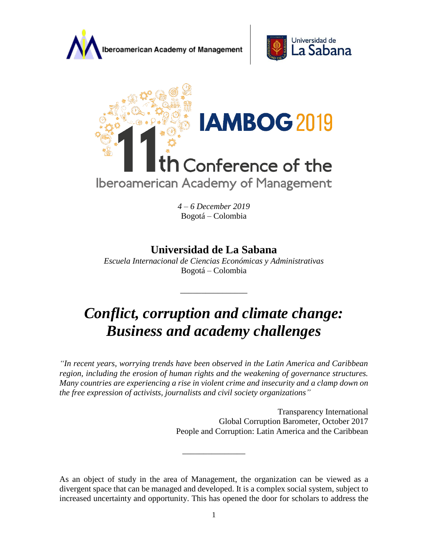





*4 – 6 December 2019* Bogotá – Colombia

# **Universidad de La Sabana**

*Escuela Internacional de Ciencias Económicas y Administrativas*  Bogotá – Colombia

\_\_\_\_\_\_\_\_\_\_\_\_\_\_\_\_

# *Conflict, corruption and climate change: Business and academy challenges*

*"In recent years, worrying trends have been observed in the Latin America and Caribbean region, including the erosion of human rights and the weakening of governance structures. Many countries are experiencing a rise in violent crime and insecurity and a clamp down on the free expression of activists, journalists and civil society organizations"* 

> Transparency International Global Corruption Barometer, October 2017 People and Corruption: Latin America and the Caribbean

As an object of study in the area of Management, the organization can be viewed as a divergent space that can be managed and developed. It is a complex social system, subject to increased uncertainty and opportunity. This has opened the door for scholars to address the

\_\_\_\_\_\_\_\_\_\_\_\_\_\_\_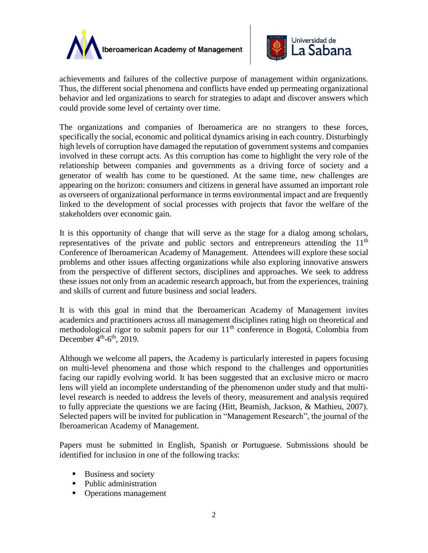



achievements and failures of the collective purpose of management within organizations. Thus, the different social phenomena and conflicts have ended up permeating organizational behavior and led organizations to search for strategies to adapt and discover answers which could provide some level of certainty over time.

The organizations and companies of Iberoamerica are no strangers to these forces, specifically the social, economic and political dynamics arising in each country. Disturbingly high levels of corruption have damaged the reputation of government systems and companies involved in these corrupt acts. As this corruption has come to highlight the very role of the relationship between companies and governments as a driving force of society and a generator of wealth has come to be questioned. At the same time, new challenges are appearing on the horizon: consumers and citizens in general have assumed an important role as overseers of organizational performance in terms environmental impact and are frequently linked to the development of social processes with projects that favor the welfare of the stakeholders over economic gain.

It is this opportunity of change that will serve as the stage for a dialog among scholars, representatives of the private and public sectors and entrepreneurs attending the  $11<sup>th</sup>$ Conference of Iberoamerican Academy of Management. Attendees will explore these social problems and other issues affecting organizations while also exploring innovative answers from the perspective of different sectors, disciplines and approaches. We seek to address these issues not only from an academic research approach, but from the experiences, training and skills of current and future business and social leaders.

It is with this goal in mind that the Iberoamerican Academy of Management invites academics and practitioners across all management disciplines rating high on theoretical and methodological rigor to submit papers for our  $11<sup>th</sup>$  conference in Bogotá, Colombia from December  $4<sup>th</sup>$ -6<sup>th</sup>, 2019.

Although we welcome all papers, the Academy is particularly interested in papers focusing on multi-level phenomena and those which respond to the challenges and opportunities facing our rapidly evolving world. It has been suggested that an exclusive micro or macro lens will yield an incomplete understanding of the phenomenon under study and that multilevel research is needed to address the levels of theory, measurement and analysis required to fully appreciate the questions we are facing (Hitt, Beamish, Jackson, & Mathieu, 2007). Selected papers will be invited for publication in "Management Research", the journal of the Iberoamerican Academy of Management.

Papers must be submitted in English, Spanish or Portuguese. Submissions should be identified for inclusion in one of the following tracks:

- Business and society
- Public administration
- Operations management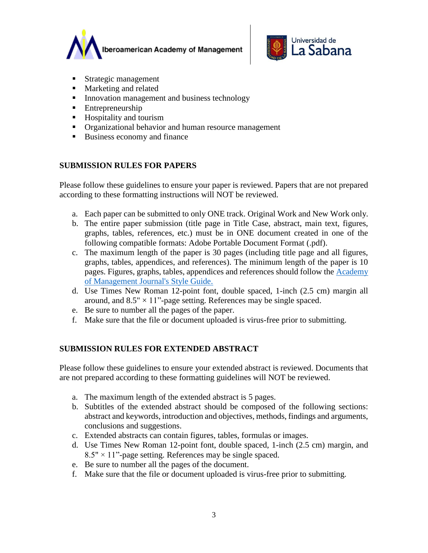



- Strategic management
- Marketing and related
- **IDED** Innovation management and business technology
- Entrepreneurship
- Hospitality and tourism
- **•** Organizational behavior and human resource management
- Business economy and finance

# **SUBMISSION RULES FOR PAPERS**

Please follow these guidelines to ensure your paper is reviewed. Papers that are not prepared according to these formatting instructions will NOT be reviewed.

- a. Each paper can be submitted to only ONE track. Original Work and New Work only.
- b. The entire paper submission (title page in Title Case, abstract, main text, figures, graphs, tables, references, etc.) must be in ONE document created in one of the following compatible formats: Adobe Portable Document Format (.pdf).
- c. The maximum length of the paper is 30 pages (including title page and all figures, graphs, tables, appendices, and references). The minimum length of the paper is 10 pages. Figures, graphs, tables, appendices and references should follow the [Academy](http://aom.org/publications/amj/styleguide/)  [of Management Journal's Style Guide.](http://aom.org/publications/amj/styleguide/)
- d. Use Times New Roman 12-point font, double spaced, 1-inch (2.5 cm) margin all around, and  $8.5" \times 11"$ -page setting. References may be single spaced.
- e. Be sure to number all the pages of the paper.
- f. Make sure that the file or document uploaded is virus-free prior to submitting.

#### **SUBMISSION RULES FOR EXTENDED ABSTRACT**

Please follow these guidelines to ensure your extended abstract is reviewed. Documents that are not prepared according to these formatting guidelines will NOT be reviewed.

- a. The maximum length of the extended abstract is 5 pages.
- b. Subtitles of the extended abstract should be composed of the following sections: abstract and keywords, introduction and objectives, methods, findings and arguments, conclusions and suggestions.
- c. Extended abstracts can contain figures, tables, formulas or images.
- d. Use Times New Roman 12-point font, double spaced, 1-inch (2.5 cm) margin, and  $8.5" \times 11"$ -page setting. References may be single spaced.
- e. Be sure to number all the pages of the document.
- f. Make sure that the file or document uploaded is virus-free prior to submitting.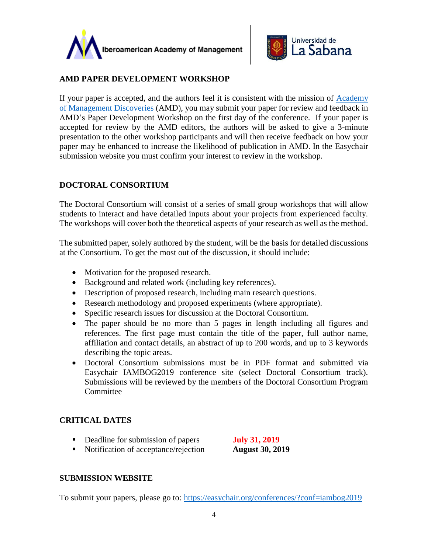



#### **AMD PAPER DEVELOPMENT WORKSHOP**

If your paper is accepted, and the authors feel it is consistent with the mission of Academy [of Management Discoveries](http://aom.org/amd/) (AMD), you may submit your paper for review and feedback in AMD's Paper Development Workshop on the first day of the conference. If your paper is accepted for review by the AMD editors, the authors will be asked to give a 3-minute presentation to the other workshop participants and will then receive feedback on how your paper may be enhanced to increase the likelihood of publication in AMD. In the Easychair submission website you must confirm your interest to review in the workshop.

# **DOCTORAL CONSORTIUM**

The Doctoral Consortium will consist of a series of small group workshops that will allow students to interact and have detailed inputs about your projects from experienced faculty. The workshops will cover both the theoretical aspects of your research as well as the method.

The submitted paper, solely authored by the student, will be the basis for detailed discussions at the Consortium. To get the most out of the discussion, it should include:

- Motivation for the proposed research.
- Background and related work (including key references).
- Description of proposed research, including main research questions.
- Research methodology and proposed experiments (where appropriate).
- Specific research issues for discussion at the Doctoral Consortium.
- The paper should be no more than 5 pages in length including all figures and references. The first page must contain the title of the paper, full author name, affiliation and contact details, an abstract of up to 200 words, and up to 3 keywords describing the topic areas.
- Doctoral Consortium submissions must be in PDF format and submitted via Easychair IAMBOG2019 conference site (select Doctoral Consortium track). Submissions will be reviewed by the members of the Doctoral Consortium Program **Committee**

#### **CRITICAL DATES**

■ Deadline for submission of papers **July 31, 2019** 

■ Notification of acceptance/rejection **August 30, 2019** 

#### **SUBMISSION WEBSITE**

To submit your papers, please go to:<https://easychair.org/conferences/?conf=iambog2019>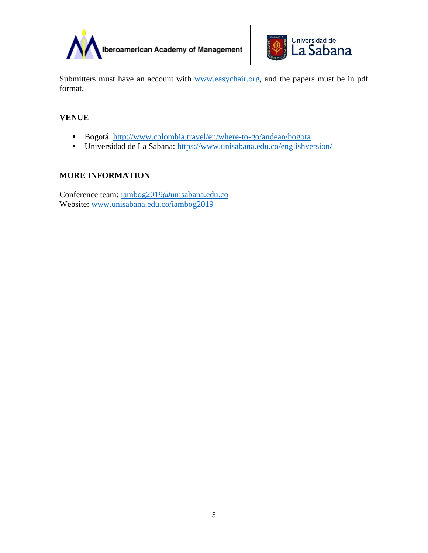



Submitters must have an account with [www.easychair.org,](http://www.easychair.org/) and the papers must be in pdf format.

# **VENUE**

- Bogotá:<http://www.colombia.travel/en/where-to-go/andean/bogota>
- Universidad de La Sabana:<https://www.unisabana.edu.co/englishversion/>

# **MORE INFORMATION**

Conference team: [iambog2019@unisabana.edu.co](mailto:iambog2019@unisabana.edu.co) Website: [www.unisabana.edu.co/iambog2019](http://www.unisabana.edu.co/iambog2019)